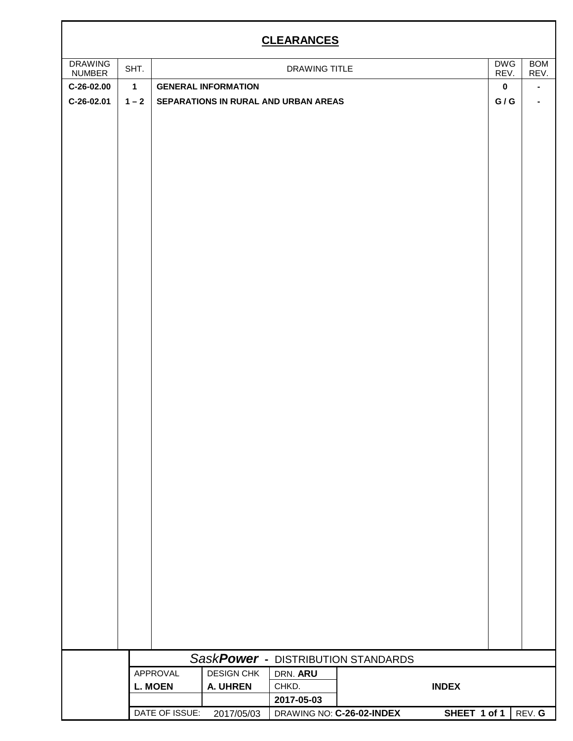|--|

|                                 |             |                                      | <b>CLEARANCES</b>         |                                    |              |                    |                    |
|---------------------------------|-------------|--------------------------------------|---------------------------|------------------------------------|--------------|--------------------|--------------------|
| <b>DRAWING</b><br><b>NUMBER</b> | SHT.        |                                      | DRAWING TITLE             |                                    |              | <b>DWG</b><br>REV. | <b>BOM</b><br>REV. |
| C-26-02.00                      | $\mathbf 1$ | <b>GENERAL INFORMATION</b>           |                           |                                    |              | $\mathbf 0$        | $\blacksquare$     |
| C-26-02.01                      | $1 - 2$     | SEPARATIONS IN RURAL AND URBAN AREAS |                           |                                    |              | G/G                | $\blacksquare$     |
|                                 |             |                                      |                           |                                    |              |                    |                    |
|                                 |             |                                      |                           |                                    |              |                    |                    |
|                                 |             |                                      |                           |                                    |              |                    |                    |
|                                 |             |                                      |                           |                                    |              |                    |                    |
|                                 |             |                                      |                           |                                    |              |                    |                    |
|                                 |             |                                      |                           |                                    |              |                    |                    |
|                                 |             |                                      |                           |                                    |              |                    |                    |
|                                 |             |                                      |                           |                                    |              |                    |                    |
|                                 |             |                                      |                           |                                    |              |                    |                    |
|                                 |             |                                      |                           |                                    |              |                    |                    |
|                                 |             |                                      |                           |                                    |              |                    |                    |
|                                 |             |                                      |                           |                                    |              |                    |                    |
|                                 |             |                                      |                           |                                    |              |                    |                    |
|                                 |             |                                      |                           |                                    |              |                    |                    |
|                                 |             |                                      |                           |                                    |              |                    |                    |
|                                 |             |                                      |                           |                                    |              |                    |                    |
|                                 |             |                                      |                           |                                    |              |                    |                    |
|                                 |             |                                      |                           |                                    |              |                    |                    |
|                                 |             |                                      |                           |                                    |              |                    |                    |
|                                 |             |                                      |                           |                                    |              |                    |                    |
|                                 |             |                                      |                           |                                    |              |                    |                    |
|                                 |             |                                      |                           |                                    |              |                    |                    |
|                                 |             |                                      |                           |                                    |              |                    |                    |
|                                 |             |                                      |                           |                                    |              |                    |                    |
|                                 |             |                                      |                           |                                    |              |                    |                    |
|                                 |             |                                      |                           |                                    |              |                    |                    |
|                                 |             |                                      |                           |                                    |              |                    |                    |
|                                 |             |                                      |                           |                                    |              |                    |                    |
|                                 |             |                                      |                           |                                    |              |                    |                    |
|                                 |             |                                      |                           |                                    |              |                    |                    |
|                                 |             |                                      |                           |                                    |              |                    |                    |
|                                 |             |                                      |                           |                                    |              |                    |                    |
|                                 |             |                                      |                           |                                    |              |                    |                    |
|                                 |             |                                      |                           |                                    |              |                    |                    |
|                                 |             |                                      |                           |                                    |              |                    |                    |
|                                 |             |                                      |                           |                                    |              |                    |                    |
|                                 |             |                                      |                           | SaskPower - DISTRIBUTION STANDARDS |              |                    |                    |
|                                 |             | APPROVAL<br><b>DESIGN CHK</b>        | DRN. ARU                  |                                    |              |                    |                    |
|                                 |             | <b>L. MOEN</b><br>A. UHREN           | CHKD.                     |                                    | <b>INDEX</b> |                    |                    |
|                                 |             |                                      | 2017-05-03                |                                    |              |                    |                    |
|                                 |             | DATE OF ISSUE:<br>2017/05/03         | DRAWING NO: C-26-02-INDEX |                                    | SHEET 1 of 1 |                    | REV. G             |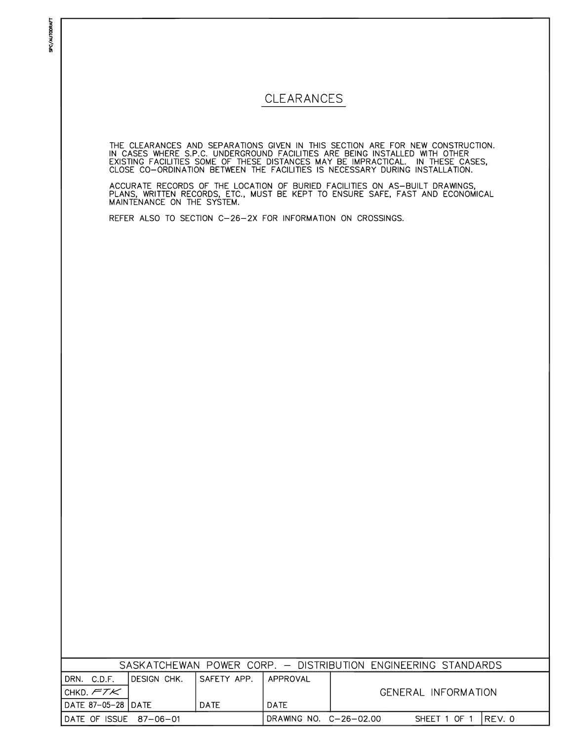SPC/AUTODRAFT

## CLEARANCES

THE CLEARANCES AND SEPARATIONS GIVEN IN THIS SECTION ARE FOR NEW CONSTRUCTION.<br>IN CASES WHERE S.P.C. UNDERGROUND FACILITIES ARE BEING INSTALLED WITH OTHER<br>EXISTING FACILITIES SOME OF THESE DISTANCES MAY BE IMPRACTICAL. IN

ACCURATE RECORDS OF THE LOCATION OF BURIED FACILITIES ON AS-BUILT DRAWINGS,<br>PLANS, WRITTEN RECORDS, ETC., MUST BE KEPT TO ENSURE SAFE, FAST AND ECONOMICAL<br>MAINTENANCE ON THE SYSTEM.

REFER ALSO TO SECTION C-26-2X FOR INFORMATION ON CROSSINGS.

| SASKATCHEWAN POWER CORP. - DISTRIBUTION ENGINEERING STANDARDS |              |              |                        |  |                     |        |
|---------------------------------------------------------------|--------------|--------------|------------------------|--|---------------------|--------|
| DRN.<br>C.D.F.                                                | IDESIGN CHK. | ISAFETY APP. | APPROVAL               |  |                     |        |
| CHKD. $\digamma \mathcal{I} \mathcal{K}$ .                    |              |              |                        |  | GENERAL INFORMATION |        |
| DATE 87-05-28   DATE                                          |              | DATE         | DATE                   |  |                     |        |
| IDATE OF ISSUE 87-06-01                                       |              |              | DRAWING NO. C-26-02.00 |  | SHEET 1 OF          | IRFV.0 |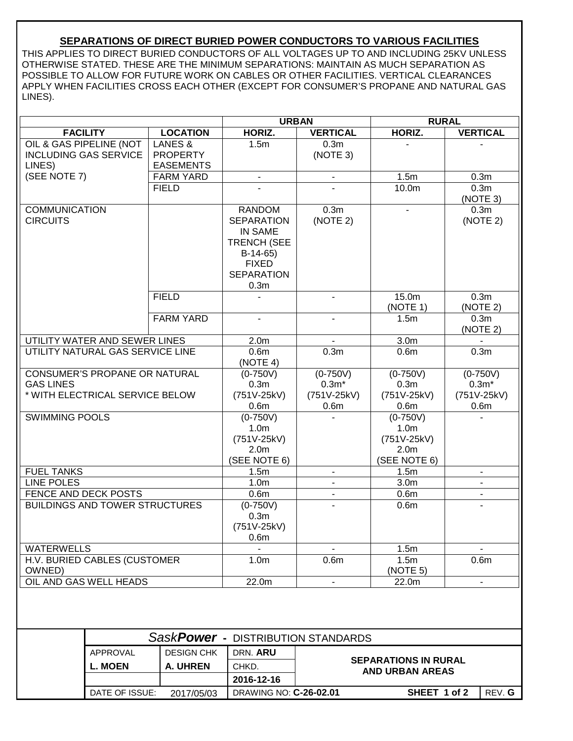## **SEPARATIONS OF DIRECT BURIED POWER CONDUCTORS TO VARIOUS FACILITIES**

THIS APPLIES TO DIRECT BURIED CONDUCTORS OF ALL VOLTAGES UP TO AND INCLUDING 25KV UNLESS OTHERWISE STATED. THESE ARE THE MINIMUM SEPARATIONS: MAINTAIN AS MUCH SEPARATION AS POSSIBLE TO ALLOW FOR FUTURE WORK ON CABLES OR OTHER FACILITIES. VERTICAL CLEARANCES APPLY WHEN FACILITIES CROSS EACH OTHER (EXCEPT FOR CONSUMER'S PROPANE AND NATURAL GAS LINES).

|                                        |                              | <b>URBAN</b>              |                                            | <b>RURAL</b>         |                                  |  |
|----------------------------------------|------------------------------|---------------------------|--------------------------------------------|----------------------|----------------------------------|--|
| <b>FACILITY</b>                        | <b>LOCATION</b>              | HORIZ.                    | <b>VERTICAL</b>                            | HORIZ.               | <b>VERTICAL</b>                  |  |
| OIL & GAS PIPELINE (NOT                | LANES &                      | 1.5 <sub>m</sub>          | 0.3 <sub>m</sub>                           |                      |                                  |  |
| <b>INCLUDING GAS SERVICE</b>           | <b>PROPERTY</b>              |                           | (NOTE 3)                                   |                      |                                  |  |
| LINES)                                 | <b>EASEMENTS</b>             |                           |                                            |                      |                                  |  |
| (SEE NOTE 7)                           | <b>FARM YARD</b>             | $\overline{\phantom{a}}$  |                                            | 1.5m                 | 0.3 <sub>m</sub>                 |  |
|                                        | <b>FIELD</b>                 |                           |                                            | 10.0m                | 0.3 <sub>m</sub><br>(NOTE 3)     |  |
| <b>COMMUNICATION</b>                   |                              | <b>RANDOM</b>             | 0.3 <sub>m</sub>                           |                      | 0.3 <sub>m</sub>                 |  |
| <b>CIRCUITS</b>                        |                              | <b>SEPARATION</b>         | (NOTE 2)                                   |                      | (NOTE 2)                         |  |
|                                        |                              | <b>IN SAME</b>            |                                            |                      |                                  |  |
|                                        |                              | <b>TRENCH (SEE</b>        |                                            |                      |                                  |  |
|                                        |                              | $B-14-65$<br><b>FIXED</b> |                                            |                      |                                  |  |
|                                        |                              | <b>SEPARATION</b>         |                                            |                      |                                  |  |
|                                        |                              | 0.3 <sub>m</sub>          |                                            |                      |                                  |  |
|                                        | <b>FIELD</b>                 |                           | $\overline{\phantom{a}}$                   | 15.0m                | 0.3 <sub>m</sub>                 |  |
|                                        |                              |                           |                                            | (NOTE 1)             | (NOTE 2)                         |  |
|                                        | <b>FARM YARD</b>             | $\blacksquare$            | $\overline{\phantom{a}}$                   | 1.5m                 | 0.3 <sub>m</sub>                 |  |
|                                        |                              |                           |                                            |                      | (NOTE 2)                         |  |
| UTILITY WATER AND SEWER LINES          |                              | 2.0 <sub>m</sub>          |                                            | 3.0 <sub>m</sub>     |                                  |  |
| UTILITY NATURAL GAS SERVICE LINE       | 0.6 <sub>m</sub><br>(NOTE 4) | 0.3 <sub>m</sub>          | 0.6 <sub>m</sub>                           | 0.3 <sub>m</sub>     |                                  |  |
| <b>CONSUMER'S PROPANE OR NATURAL</b>   | $(0-750V)$                   | $(0-750V)$                | $(0-750V)$                                 | $(0-750V)$           |                                  |  |
| <b>GAS LINES</b>                       | 0.3 <sub>m</sub>             | $0.3m*$                   | 0.3 <sub>m</sub>                           | $0.3m*$              |                                  |  |
| * WITH ELECTRICAL SERVICE BELOW        | (751V-25kV)                  | (751V-25kV)               | (751V-25kV)                                | (751V-25kV)          |                                  |  |
|                                        | 0.6 <sub>m</sub>             | 0.6 <sub>m</sub>          | 0.6 <sub>m</sub>                           | 0.6 <sub>m</sub>     |                                  |  |
| <b>SWIMMING POOLS</b>                  |                              | $(0-750V)$                |                                            | $(0-750V)$           |                                  |  |
|                                        |                              | 1.0 <sub>m</sub>          |                                            | 1.0 <sub>m</sub>     |                                  |  |
|                                        |                              | (751V-25kV)               |                                            | (751V-25kV)          |                                  |  |
|                                        |                              | 2.0 <sub>m</sub>          |                                            | 2.0 <sub>m</sub>     |                                  |  |
|                                        |                              | (SEE NOTE 6)<br>1.5m      |                                            | (SEE NOTE 6)<br>1.5m |                                  |  |
| <b>FUEL TANKS</b><br><b>LINE POLES</b> |                              | 1.0 <sub>m</sub>          | $\blacksquare$<br>$\overline{\phantom{a}}$ | 3.0 <sub>m</sub>     | $\blacksquare$<br>$\blacksquare$ |  |
| FENCE AND DECK POSTS                   | 0.6 <sub>m</sub>             | $\overline{\phantom{a}}$  | 0.6 <sub>m</sub>                           | $\blacksquare$       |                                  |  |
| <b>BUILDINGS AND TOWER STRUCTURES</b>  | $(0-750V)$                   | $\blacksquare$            | 0.6 <sub>m</sub>                           | $\blacksquare$       |                                  |  |
|                                        | 0.3 <sub>m</sub>             |                           |                                            |                      |                                  |  |
|                                        |                              | (751V-25kV)               |                                            |                      |                                  |  |
|                                        |                              | 0.6m                      |                                            |                      |                                  |  |
| <b>WATERWELLS</b>                      |                              |                           | 1.5m                                       |                      |                                  |  |
| H.V. BURIED CABLES (CUSTOMER           | 1.0 <sub>m</sub>             | 0.6 <sub>m</sub>          | 1.5m                                       | 0.6 <sub>m</sub>     |                                  |  |
| OWNED)                                 |                              |                           | (NOTE 5)                                   |                      |                                  |  |
| OIL AND GAS WELL HEADS                 | 22.0m                        | $\overline{\phantom{a}}$  | 22.0m                                      | $\blacksquare$       |                                  |  |
|                                        |                              |                           |                                            |                      |                                  |  |
|                                        |                              |                           |                                            |                      |                                  |  |
|                                        |                              |                           |                                            |                      |                                  |  |

|                |                   | SaskPower - DISTRIBUTION STANDARDS |                                                       |       |  |  |
|----------------|-------------------|------------------------------------|-------------------------------------------------------|-------|--|--|
| APPROVAL       | <b>DESIGN CHK</b> | DRN. ARU                           |                                                       |       |  |  |
| <b>L. MOEN</b> | A. UHREN          | CHKD.                              | <b>SEPARATIONS IN RURAL</b><br><b>AND URBAN AREAS</b> |       |  |  |
|                |                   | 2016-12-16                         |                                                       |       |  |  |
| DATE OF ISSUE: | 2017/05/03        | <b>DRAWING NO: C-26-02.01</b>      | SHEET 1 of 2                                          | RFV G |  |  |